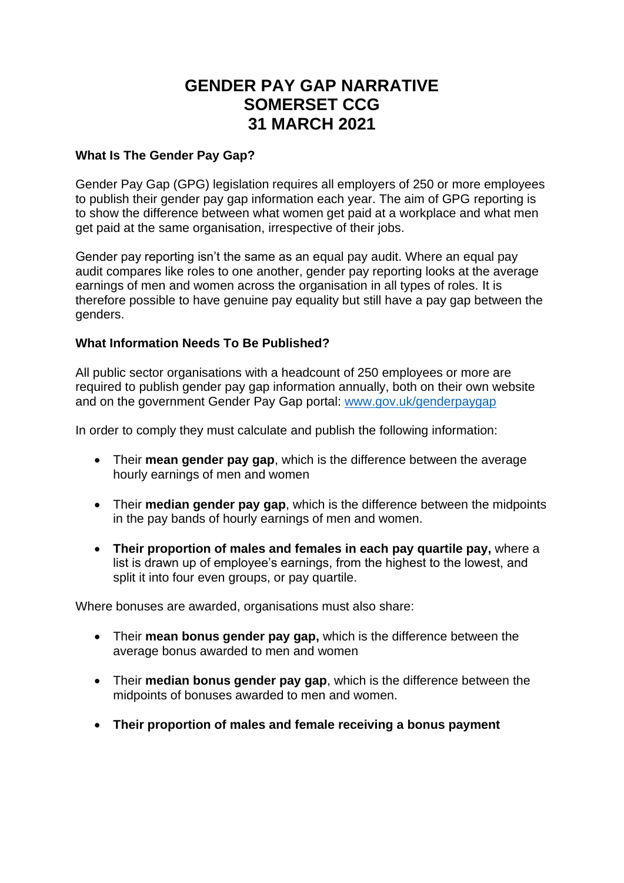# **GENDER PAY GAP NARRATIVE SOMERSET CCG 31 MARCH 2021**

## **What Is The Gender Pay Gap?**

Gender Pay Gap (GPG) legislation requires all employers of 250 or more employees to publish their gender pay gap information each year. The aim of GPG reporting is to show the difference between what women get paid at a workplace and what men get paid at the same organisation, irrespective of their jobs.

Gender pay reporting isn't the same as an equal pay audit. Where an equal pay audit compares like roles to one another, gender pay reporting looks at the average earnings of men and women across the organisation in all types of roles. It is therefore possible to have genuine pay equality but still have a pay gap between the genders.

## **What Information Needs To Be Published?**

All public sector organisations with a headcount of 250 employees or more are required to publish gender pay gap information annually, both on their own website and on the government Gender Pay Gap portal: [www.gov.uk/genderpaygap](http://www.gov.uk/genderpaygap)

In order to comply they must calculate and publish the following information:

- Their **mean gender pay gap**, which is the difference between the average hourly earnings of men and women
- Their **median gender pay gap**, which is the difference between the midpoints in the pay bands of hourly earnings of men and women.
- **Their proportion of males and females in each pay quartile pay,** where a list is drawn up of employee's earnings, from the highest to the lowest, and split it into four even groups, or pay quartile.

Where bonuses are awarded, organisations must also share:

- Their **mean bonus gender pay gap,** which is the difference between the average bonus awarded to men and women
- Their **median bonus gender pay gap**, which is the difference between the midpoints of bonuses awarded to men and women.
- **Their proportion of males and female receiving a bonus payment**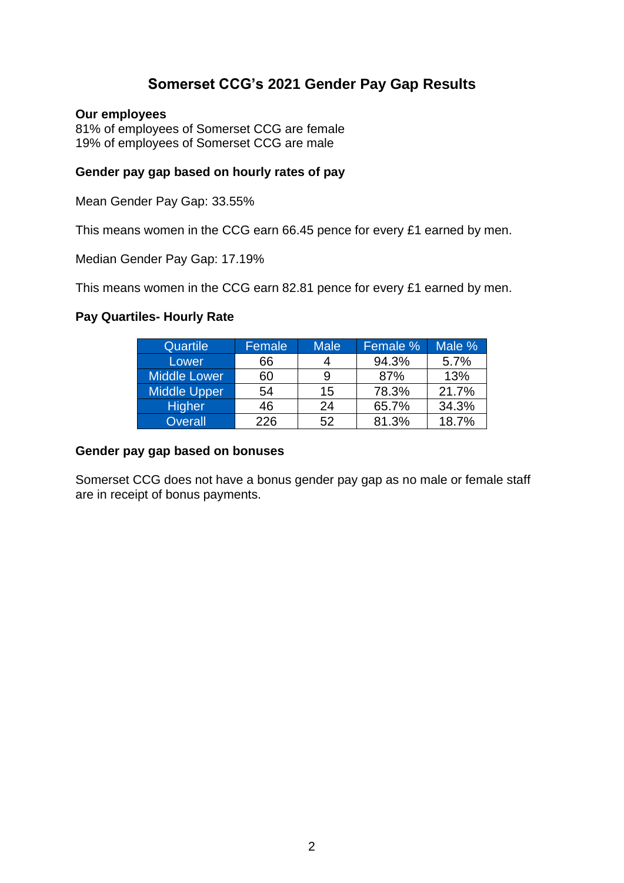## **Somerset CCG's 2021 Gender Pay Gap Results**

#### **Our employees**

81% of employees of Somerset CCG are female 19% of employees of Somerset CCG are male

### **Gender pay gap based on hourly rates of pay**

Mean Gender Pay Gap: 33.55%

This means women in the CCG earn 66.45 pence for every £1 earned by men.

Median Gender Pay Gap: 17.19%

This means women in the CCG earn 82.81 pence for every £1 earned by men.

#### **Pay Quartiles- Hourly Rate**

| <b>Quartile</b>     | Female | <b>Male</b> | Female % | Male % |
|---------------------|--------|-------------|----------|--------|
| Lower               | 66     |             | 94.3%    | 5.7%   |
| Middle Lower        | 60     | 9           | 87%      | 13%    |
| <b>Middle Upper</b> | 54     | 15          | 78.3%    | 21.7%  |
| <b>Higher</b>       | 46     | 24          | 65.7%    | 34.3%  |
| <b>Overall</b>      | 226    | 52          | 81.3%    | 18.7%  |

#### **Gender pay gap based on bonuses**

Somerset CCG does not have a bonus gender pay gap as no male or female staff are in receipt of bonus payments.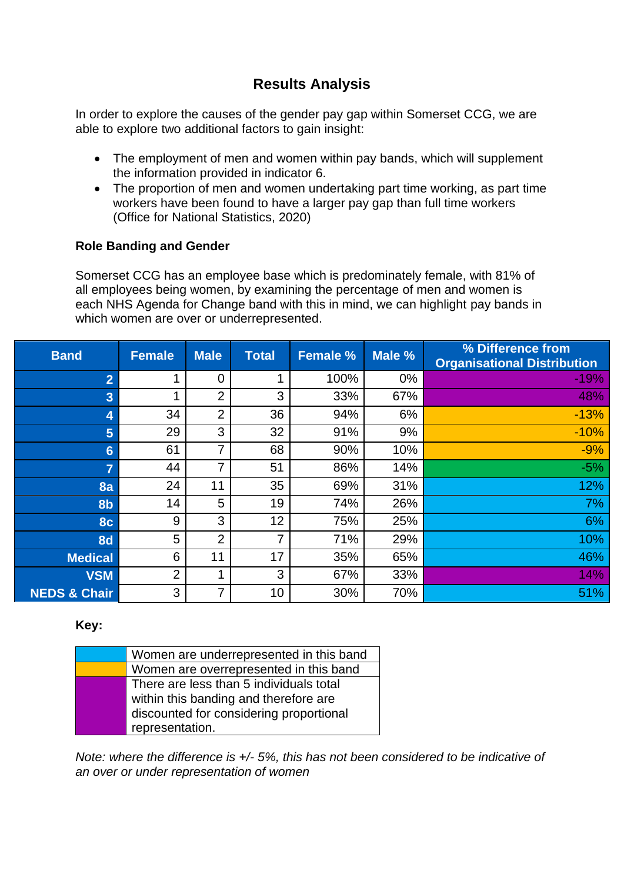# **Results Analysis**

In order to explore the causes of the gender pay gap within Somerset CCG, we are able to explore two additional factors to gain insight:

- The employment of men and women within pay bands, which will supplement the information provided in indicator 6.
- The proportion of men and women undertaking part time working, as part time workers have been found to have a larger pay gap than full time workers (Office for National Statistics, 2020)

## **Role Banding and Gender**

Somerset CCG has an employee base which is predominately female, with 81% of all employees being women, by examining the percentage of men and women is each NHS Agenda for Change band with this in mind, we can highlight pay bands in which women are over or underrepresented.

| <b>Band</b>             | <b>Female</b>  | <b>Male</b>    | <b>Total</b>    | <b>Female %</b> | Male % | % Difference from<br><b>Organisational Distribution</b> |
|-------------------------|----------------|----------------|-----------------|-----------------|--------|---------------------------------------------------------|
| $\overline{2}$          | 1              | $\overline{0}$ |                 | 100%            | $0\%$  | $-19%$                                                  |
| $\overline{3}$          | 1              | $\overline{2}$ | 3               | 33%             | 67%    | 48%                                                     |
| 4                       | 34             | $\overline{2}$ | 36              | 94%             | 6%     | $-13%$                                                  |
| 5                       | 29             | 3              | 32              | 91%             | 9%     | $-10%$                                                  |
| $6\phantom{1}$          | 61             | 7              | 68              | 90%             | 10%    | $-9%$                                                   |
| $\overline{7}$          | 44             | 7              | 51              | 86%             | 14%    | $-5%$                                                   |
| 8a                      | 24             | 11             | 35              | 69%             | 31%    | 12%                                                     |
| 8 <sub>b</sub>          | 14             | 5              | 19              | 74%             | 26%    | 7%                                                      |
| 8c                      | 9              | 3              | 12              | 75%             | 25%    | 6%                                                      |
| <b>8d</b>               | 5              | $\overline{2}$ | 7               | 71%             | 29%    | 10%                                                     |
| <b>Medical</b>          | 6              | 11             | 17              | 35%             | 65%    | 46%                                                     |
| <b>VSM</b>              | $\overline{2}$ | 4              | 3               | 67%             | 33%    | 14%                                                     |
| <b>NEDS &amp; Chair</b> | 3              | 7              | 10 <sup>1</sup> | 30%             | 70%    | 51%                                                     |

### **Key:**

| Women are underrepresented in this band |
|-----------------------------------------|
| Women are overrepresented in this band  |
| There are less than 5 individuals total |
| within this banding and therefore are   |
| discounted for considering proportional |
| representation.                         |
|                                         |

*Note: where the difference is +/- 5%, this has not been considered to be indicative of an over or under representation of women*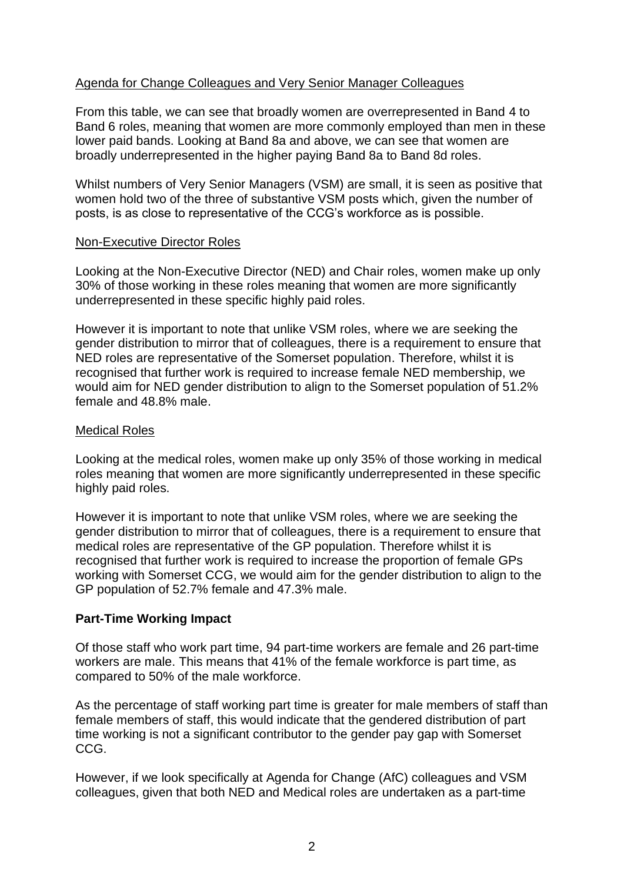## Agenda for Change Colleagues and Very Senior Manager Colleagues

From this table, we can see that broadly women are overrepresented in Band 4 to Band 6 roles, meaning that women are more commonly employed than men in these lower paid bands. Looking at Band 8a and above, we can see that women are broadly underrepresented in the higher paying Band 8a to Band 8d roles.

Whilst numbers of Very Senior Managers (VSM) are small, it is seen as positive that women hold two of the three of substantive VSM posts which, given the number of posts, is as close to representative of the CCG's workforce as is possible.

#### Non-Executive Director Roles

Looking at the Non-Executive Director (NED) and Chair roles, women make up only 30% of those working in these roles meaning that women are more significantly underrepresented in these specific highly paid roles.

However it is important to note that unlike VSM roles, where we are seeking the gender distribution to mirror that of colleagues, there is a requirement to ensure that NED roles are representative of the Somerset population. Therefore, whilst it is recognised that further work is required to increase female NED membership, we would aim for NED gender distribution to align to the Somerset population of 51.2% female and 48.8% male.

#### Medical Roles

Looking at the medical roles, women make up only 35% of those working in medical roles meaning that women are more significantly underrepresented in these specific highly paid roles.

However it is important to note that unlike VSM roles, where we are seeking the gender distribution to mirror that of colleagues, there is a requirement to ensure that medical roles are representative of the GP population. Therefore whilst it is recognised that further work is required to increase the proportion of female GPs working with Somerset CCG, we would aim for the gender distribution to align to the GP population of 52.7% female and 47.3% male.

### **Part-Time Working Impact**

Of those staff who work part time, 94 part-time workers are female and 26 part-time workers are male. This means that 41% of the female workforce is part time, as compared to 50% of the male workforce.

As the percentage of staff working part time is greater for male members of staff than female members of staff, this would indicate that the gendered distribution of part time working is not a significant contributor to the gender pay gap with Somerset CCG.

However, if we look specifically at Agenda for Change (AfC) colleagues and VSM colleagues, given that both NED and Medical roles are undertaken as a part-time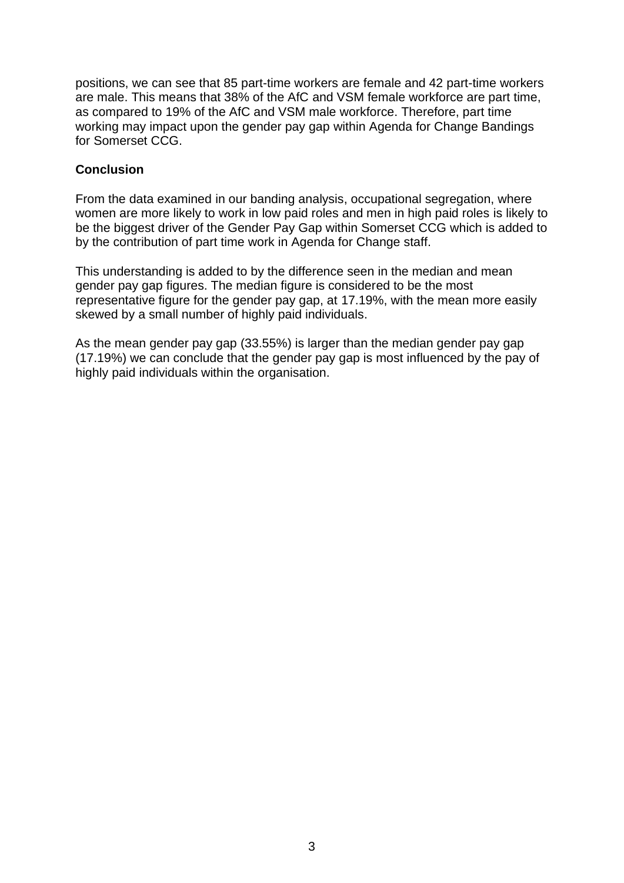positions, we can see that 85 part-time workers are female and 42 part-time workers are male. This means that 38% of the AfC and VSM female workforce are part time, as compared to 19% of the AfC and VSM male workforce. Therefore, part time working may impact upon the gender pay gap within Agenda for Change Bandings for Somerset CCG.

## **Conclusion**

From the data examined in our banding analysis, occupational segregation, where women are more likely to work in low paid roles and men in high paid roles is likely to be the biggest driver of the Gender Pay Gap within Somerset CCG which is added to by the contribution of part time work in Agenda for Change staff.

This understanding is added to by the difference seen in the median and mean gender pay gap figures. The median figure is considered to be the most representative figure for the gender pay gap, at 17.19%, with the mean more easily skewed by a small number of highly paid individuals.

As the mean gender pay gap (33.55%) is larger than the median gender pay gap (17.19%) we can conclude that the gender pay gap is most influenced by the pay of highly paid individuals within the organisation.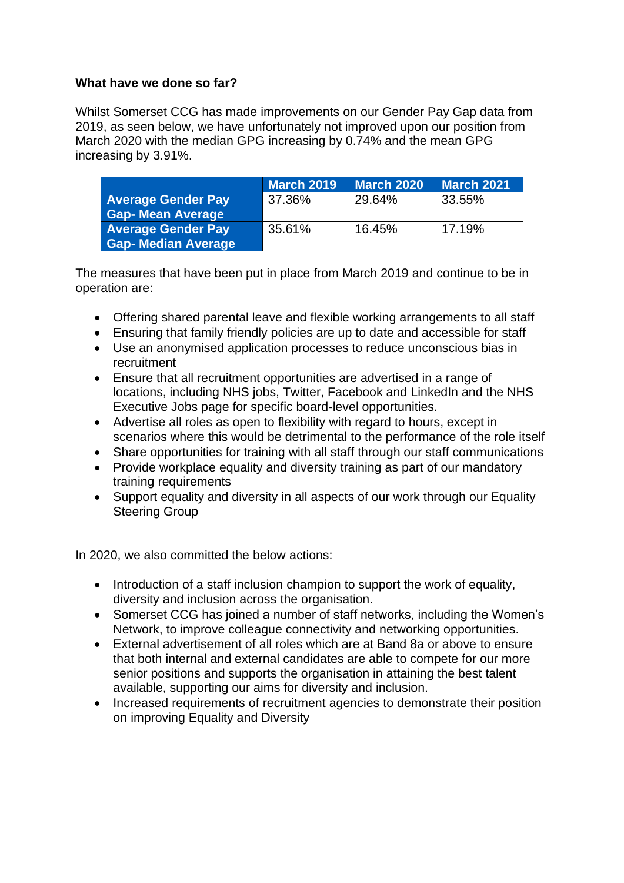## **What have we done so far?**

Whilst Somerset CCG has made improvements on our Gender Pay Gap data from 2019, as seen below, we have unfortunately not improved upon our position from March 2020 with the median GPG increasing by 0.74% and the mean GPG increasing by 3.91%.

|                                | <b>March 2019</b> | <b>March 2020</b> | <b>March 2021</b> |
|--------------------------------|-------------------|-------------------|-------------------|
| <b>Average Gender Pay</b>      | 37.36%            | 29.64%            | 33.55%            |
| Gap- Mean Average <sup>+</sup> |                   |                   |                   |
| <b>Average Gender Pay</b>      | 35.61%            | 16.45%            | 17.19%            |
| <b>Gap- Median Average</b>     |                   |                   |                   |

The measures that have been put in place from March 2019 and continue to be in operation are:

- Offering shared parental leave and flexible working arrangements to all staff
- Ensuring that family friendly policies are up to date and accessible for staff
- Use an anonymised application processes to reduce unconscious bias in recruitment
- Ensure that all recruitment opportunities are advertised in a range of locations, including NHS jobs, Twitter, Facebook and LinkedIn and the NHS Executive Jobs page for specific board-level opportunities.
- Advertise all roles as open to flexibility with regard to hours, except in scenarios where this would be detrimental to the performance of the role itself
- Share opportunities for training with all staff through our staff communications
- Provide workplace equality and diversity training as part of our mandatory training requirements
- Support equality and diversity in all aspects of our work through our Equality Steering Group

In 2020, we also committed the below actions:

- Introduction of a staff inclusion champion to support the work of equality, diversity and inclusion across the organisation.
- Somerset CCG has joined a number of staff networks, including the Women's Network, to improve colleague connectivity and networking opportunities.
- External advertisement of all roles which are at Band 8a or above to ensure that both internal and external candidates are able to compete for our more senior positions and supports the organisation in attaining the best talent available, supporting our aims for diversity and inclusion.
- Increased requirements of recruitment agencies to demonstrate their position on improving Equality and Diversity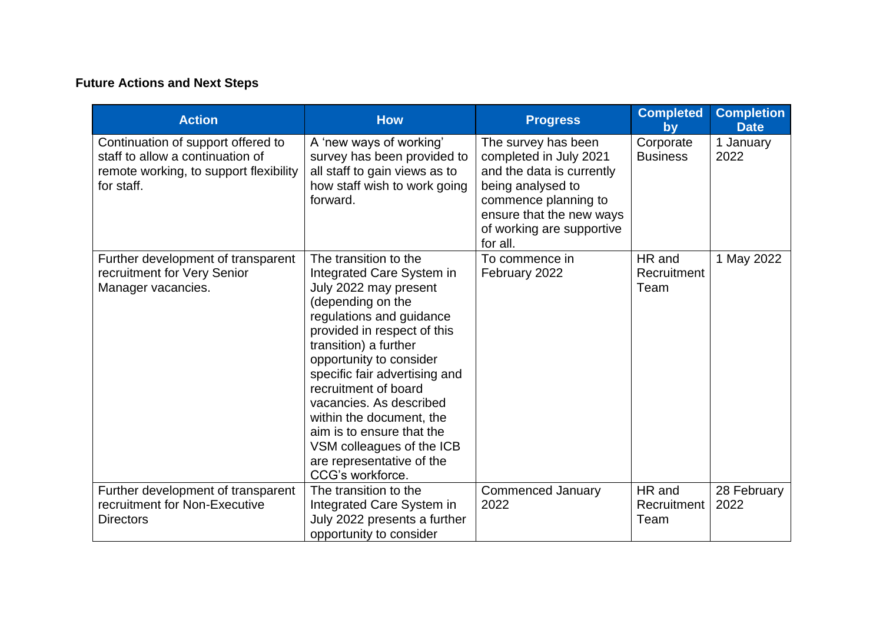## **Future Actions and Next Steps**

| <b>Action</b>                                                                                                                  | <b>How</b>                                                                                                                                                                                                                                                                                                                                                                                                                                 | <b>Progress</b>                                                                                                                                                                              | <b>Completed</b><br>by        | <b>Completion</b><br><b>Date</b> |
|--------------------------------------------------------------------------------------------------------------------------------|--------------------------------------------------------------------------------------------------------------------------------------------------------------------------------------------------------------------------------------------------------------------------------------------------------------------------------------------------------------------------------------------------------------------------------------------|----------------------------------------------------------------------------------------------------------------------------------------------------------------------------------------------|-------------------------------|----------------------------------|
| Continuation of support offered to<br>staff to allow a continuation of<br>remote working, to support flexibility<br>for staff. | A 'new ways of working'<br>survey has been provided to<br>all staff to gain views as to<br>how staff wish to work going<br>forward.                                                                                                                                                                                                                                                                                                        | The survey has been<br>completed in July 2021<br>and the data is currently<br>being analysed to<br>commence planning to<br>ensure that the new ways<br>of working are supportive<br>for all. | Corporate<br><b>Business</b>  | 1 January<br>2022                |
| Further development of transparent<br>recruitment for Very Senior<br>Manager vacancies.                                        | The transition to the<br>Integrated Care System in<br>July 2022 may present<br>(depending on the<br>regulations and guidance<br>provided in respect of this<br>transition) a further<br>opportunity to consider<br>specific fair advertising and<br>recruitment of board<br>vacancies. As described<br>within the document, the<br>aim is to ensure that the<br>VSM colleagues of the ICB<br>are representative of the<br>CCG's workforce. | To commence in<br>February 2022                                                                                                                                                              | HR and<br>Recruitment<br>Team | 1 May 2022                       |
| Further development of transparent<br>recruitment for Non-Executive<br><b>Directors</b>                                        | The transition to the<br>Integrated Care System in<br>July 2022 presents a further<br>opportunity to consider                                                                                                                                                                                                                                                                                                                              | <b>Commenced January</b><br>2022                                                                                                                                                             | HR and<br>Recruitment<br>Team | 28 February<br>2022              |